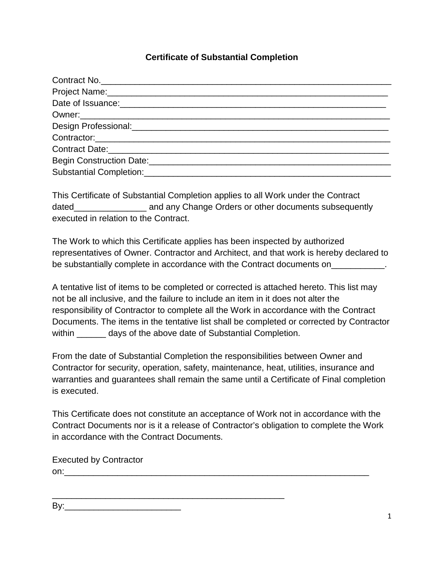## **Certificate of Substantial Completion**

This Certificate of Substantial Completion applies to all Work under the Contract dated\_\_\_\_\_\_\_\_\_\_\_\_\_\_\_\_\_\_\_ and any Change Orders or other documents subsequently executed in relation to the Contract.

The Work to which this Certificate applies has been inspected by authorized representatives of Owner. Contractor and Architect, and that work is hereby declared to be substantially complete in accordance with the Contract documents on

A tentative list of items to be completed or corrected is attached hereto. This list may not be all inclusive, and the failure to include an item in it does not alter the responsibility of Contractor to complete all the Work in accordance with the Contract Documents. The items in the tentative list shall be completed or corrected by Contractor within \_\_\_\_\_\_\_ days of the above date of Substantial Completion.

From the date of Substantial Completion the responsibilities between Owner and Contractor for security, operation, safety, maintenance, heat, utilities, insurance and warranties and guarantees shall remain the same until a Certificate of Final completion is executed.

This Certificate does not constitute an acceptance of Work not in accordance with the Contract Documents nor is it a release of Contractor's obligation to complete the Work in accordance with the Contract Documents.

Executed by Contractor  $\mathsf{on:}\qquad$ 

\_\_\_\_\_\_\_\_\_\_\_\_\_\_\_\_\_\_\_\_\_\_\_\_\_\_\_\_\_\_\_\_\_\_\_\_\_\_\_\_\_\_\_\_\_\_\_\_

By:\_\_\_\_\_\_\_\_\_\_\_\_\_\_\_\_\_\_\_\_\_\_\_\_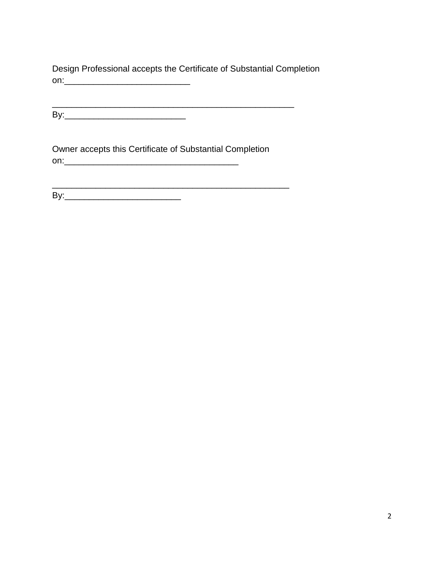Design Professional accepts the Certificate of Substantial Completion on:\_\_\_\_\_\_\_\_\_\_\_\_\_\_\_\_\_\_\_\_\_\_\_\_\_\_

\_\_\_\_\_\_\_\_\_\_\_\_\_\_\_\_\_\_\_\_\_\_\_\_\_\_\_\_\_\_\_\_\_\_\_\_\_\_\_\_\_\_\_\_\_\_\_\_\_\_ By:\_\_\_\_\_\_\_\_\_\_\_\_\_\_\_\_\_\_\_\_\_\_\_\_\_

Owner accepts this Certificate of Substantial Completion on:\_\_\_\_\_\_\_\_\_\_\_\_\_\_\_\_\_\_\_\_\_\_\_\_\_\_\_\_\_\_\_\_\_\_\_\_

By:\_\_\_\_\_\_\_\_\_\_\_\_\_\_\_\_\_\_\_\_\_\_\_\_